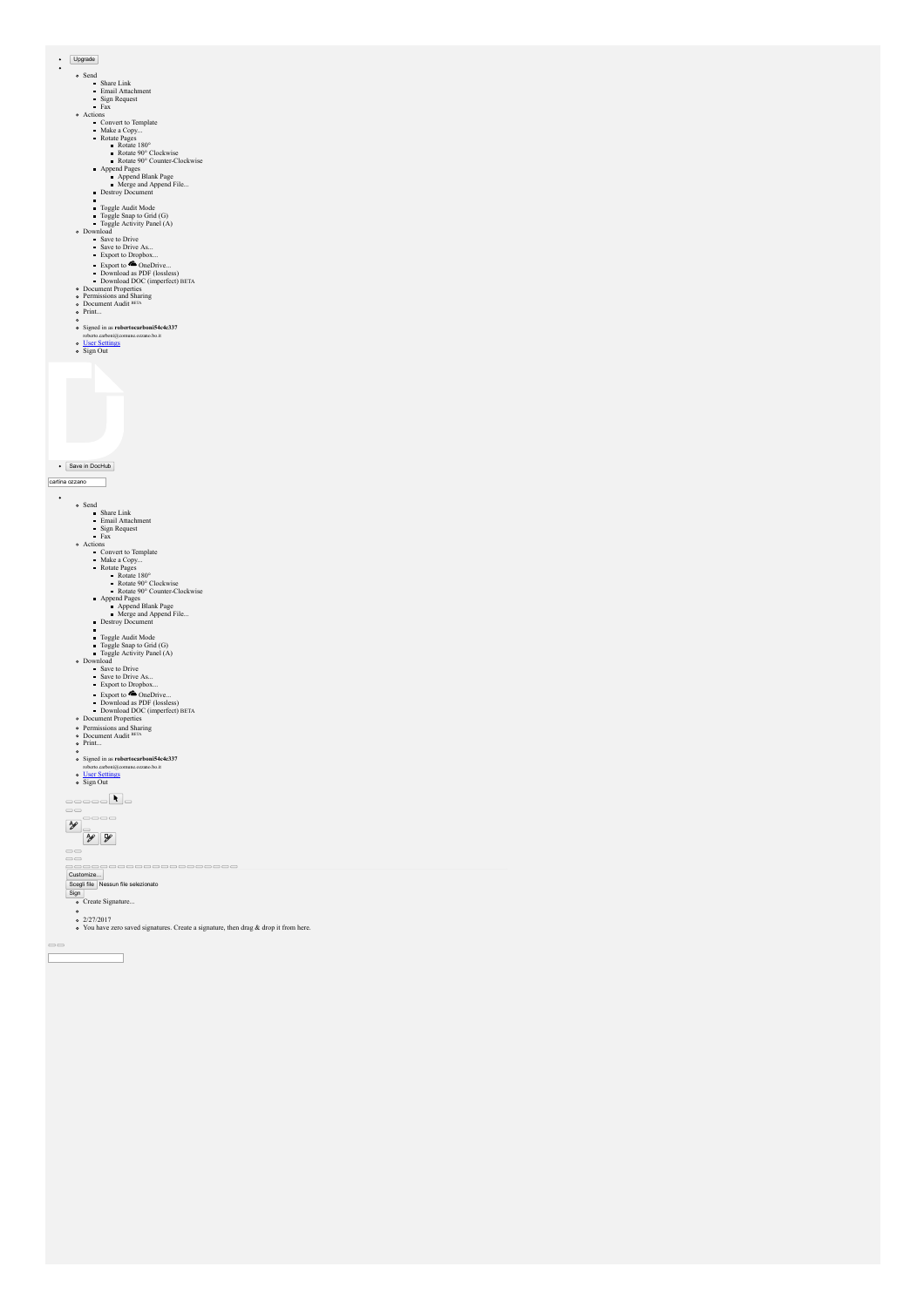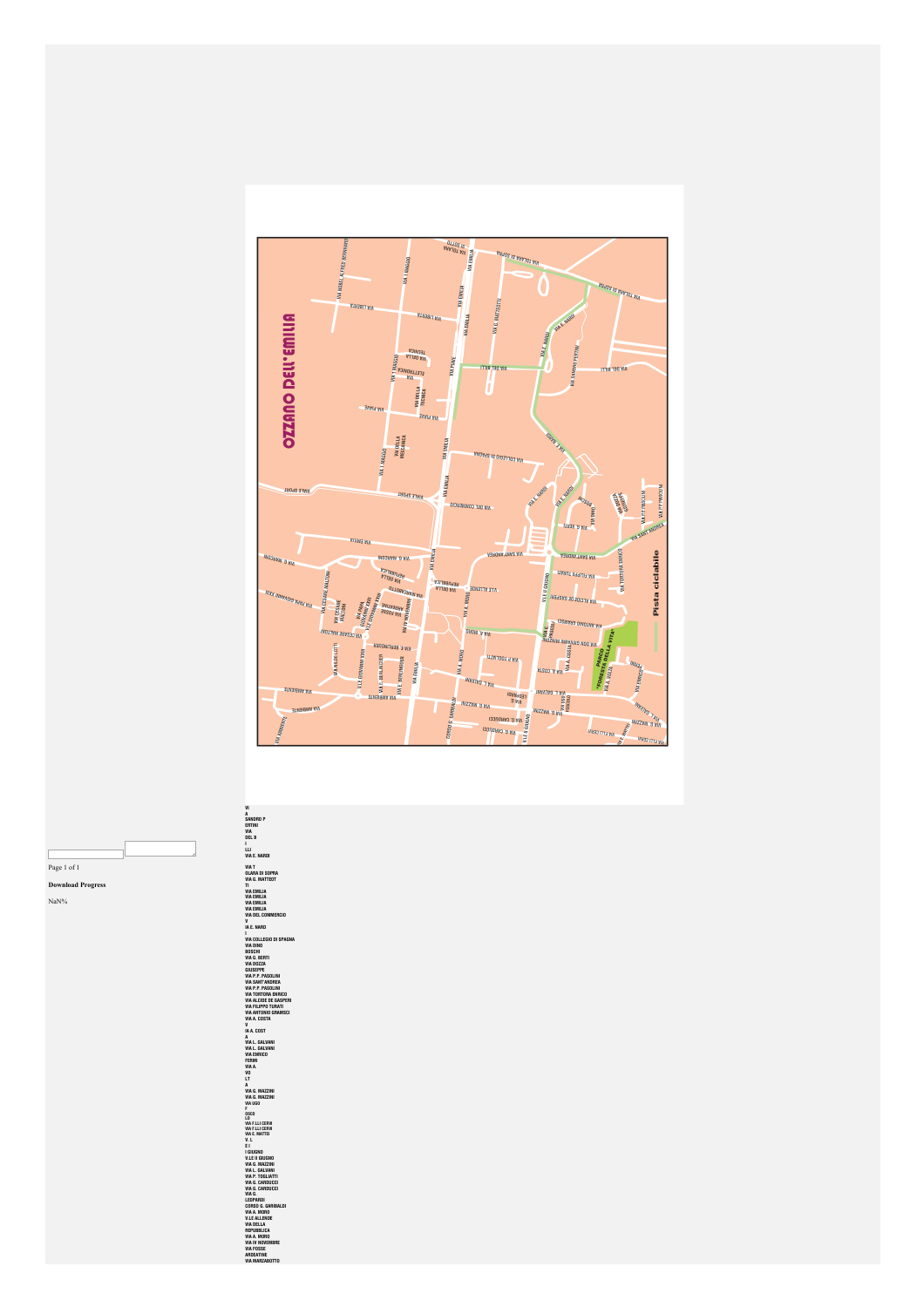

Page 1 of  $\bar{1}$ **nload Progress** Dov

 $NaN%$ 

VI SAMORO P<br>A SAMORO P<br>GENERAL VI A E MARTIED A CONTRACTE DE SUPERINTEN DE LA CONTRACTE DE SUPERINTENT DE LA CONTRACTE DE SUPERINTENT (1990)<br>CONTRACTE DE LA CONTRACTE DE LA CONTRACTE DE LA CONTRACTE DE LA CONTRACTE DE LA C